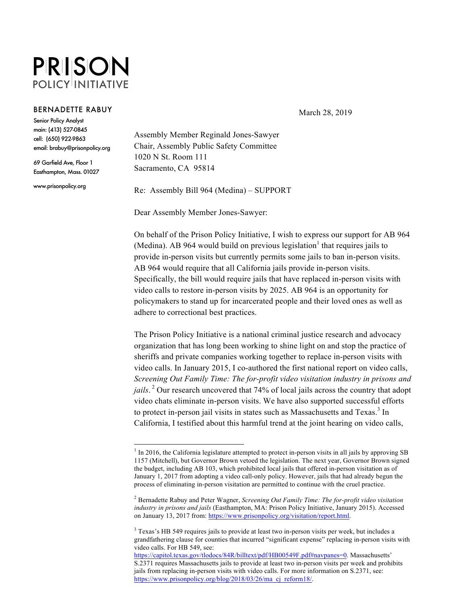## **PRISON POLICY INITIATIVE**

## **BERNADETTE RABUY**

**Senior Policy Analyst** main: (413) 527-0845 cell: (650) 922-9863 email: brabuy@prisonpolicy.org

69 Garfield Ave, Floor 1 Easthampton, Mass. 01027

www.prisonpolicy.org

Assembly Member Reginald Jones-Sawyer Chair, Assembly Public Safety Committee 1020 N St. Room 111 Sacramento, CA 95814

Re: Assembly Bill 964 (Medina) – SUPPORT

Dear Assembly Member Jones-Sawyer:

On behalf of the Prison Policy Initiative, I wish to express our support for AB 964 (Medina). AB 964 would build on previous legislation<sup>1</sup> that requires jails to provide in-person visits but currently permits some jails to ban in-person visits. AB 964 would require that all California jails provide in-person visits. Specifically, the bill would require jails that have replaced in-person visits with video calls to restore in-person visits by 2025. AB 964 is an opportunity for policymakers to stand up for incarcerated people and their loved ones as well as adhere to correctional best practices.

The Prison Policy Initiative is a national criminal justice research and advocacy organization that has long been working to shine light on and stop the practice of sheriffs and private companies working together to replace in-person visits with video calls. In January 2015, I co-authored the first national report on video calls, *Screening Out Family Time: The for-profit video visitation industry in prisons and jails*. <sup>2</sup> Our research uncovered that 74% of local jails across the country that adopt video chats eliminate in-person visits. We have also supported successful efforts to protect in-person jail visits in states such as Massachusetts and Texas.<sup>3</sup> In California, I testified about this harmful trend at the joint hearing on video calls,

March 28, 2019

<sup>&</sup>lt;sup>1</sup> In 2016, the California legislature attempted to protect in-person visits in all jails by approving SB 1157 (Mitchell), but Governor Brown vetoed the legislation. The next year, Governor Brown signed the budget, including AB 103, which prohibited local jails that offered in-person visitation as of January 1, 2017 from adopting a video call-only policy. However, jails that had already begun the process of eliminating in-person visitation are permitted to continue with the cruel practice.

<sup>2</sup> Bernadette Rabuy and Peter Wagner, *Screening Out Family Time: The for-profit video visitation industry in prisons and jails* (Easthampton, MA: Prison Policy Initiative, January 2015). Accessed on January 13, 2017 from: https://www.prisonpolicy.org/visitation/report.html.

<sup>&</sup>lt;sup>3</sup> Texas's HB 549 requires jails to provide at least two in-person visits per week, but includes a grandfathering clause for counties that incurred "significant expense" replacing in-person visits with video calls. For HB 549, see:

https://capitol.texas.gov/tlodocs/84R/billtext/pdf/HB00549F.pdf#navpanes=0. Massachusetts' S.2371 requires Massachusetts jails to provide at least two in-person visits per week and prohibits jails from replacing in-person visits with video calls. For more information on S.2371, see: https://www.prisonpolicy.org/blog/2018/03/26/ma\_cj\_reform18/.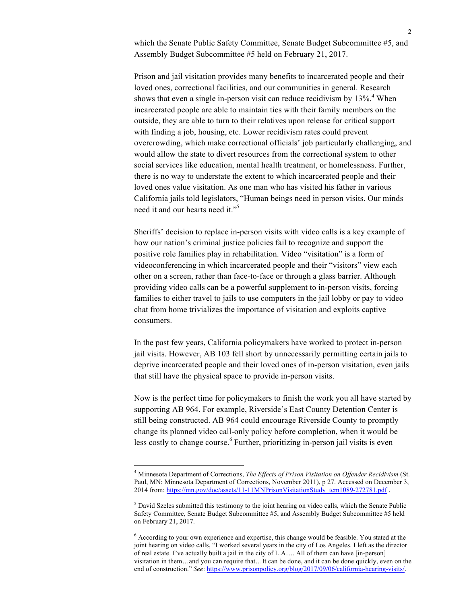which the Senate Public Safety Committee, Senate Budget Subcommittee #5, and Assembly Budget Subcommittee #5 held on February 21, 2017.

Prison and jail visitation provides many benefits to incarcerated people and their loved ones, correctional facilities, and our communities in general. Research shows that even a single in-person visit can reduce recidivism by  $13\%$ <sup>4</sup>. When incarcerated people are able to maintain ties with their family members on the outside, they are able to turn to their relatives upon release for critical support with finding a job, housing, etc. Lower recidivism rates could prevent overcrowding, which make correctional officials' job particularly challenging, and would allow the state to divert resources from the correctional system to other social services like education, mental health treatment, or homelessness. Further, there is no way to understate the extent to which incarcerated people and their loved ones value visitation. As one man who has visited his father in various California jails told legislators, "Human beings need in person visits. Our minds need it and our hearts need it."<sup>5</sup>

Sheriffs' decision to replace in-person visits with video calls is a key example of how our nation's criminal justice policies fail to recognize and support the positive role families play in rehabilitation. Video "visitation" is a form of videoconferencing in which incarcerated people and their "visitors" view each other on a screen, rather than face-to-face or through a glass barrier. Although providing video calls can be a powerful supplement to in-person visits, forcing families to either travel to jails to use computers in the jail lobby or pay to video chat from home trivializes the importance of visitation and exploits captive consumers.

In the past few years, California policymakers have worked to protect in-person jail visits. However, AB 103 fell short by unnecessarily permitting certain jails to deprive incarcerated people and their loved ones of in-person visitation, even jails that still have the physical space to provide in-person visits.

Now is the perfect time for policymakers to finish the work you all have started by supporting AB 964. For example, Riverside's East County Detention Center is still being constructed. AB 964 could encourage Riverside County to promptly change its planned video call-only policy before completion, when it would be less costly to change course. <sup>6</sup> Further, prioritizing in-person jail visits is even

 <sup>4</sup> Minnesota Department of Corrections, *The Effects of Prison Visitation on Offender Recidivism* (St. Paul, MN: Minnesota Department of Corrections, November 2011), p 27. Accessed on December 3, 2014 from: https://mn.gov/doc/assets/11-11MNPrisonVisitationStudy\_tcm1089-272781.pdf .

 $<sup>5</sup>$  David Szeles submitted this testimony to the joint hearing on video calls, which the Senate Public</sup> Safety Committee, Senate Budget Subcommittee #5, and Assembly Budget Subcommittee #5 held on February 21, 2017.

<sup>&</sup>lt;sup>6</sup> According to your own experience and expertise, this change would be feasible. You stated at the joint hearing on video calls, "I worked several years in the city of Los Angeles. I left as the director of real estate. I've actually built a jail in the city of L.A…. All of them can have [in-person] visitation in them…and you can require that…It can be done, and it can be done quickly, even on the end of construction." *See*: https://www.prisonpolicy.org/blog/2017/09/06/california-hearing-visits/.